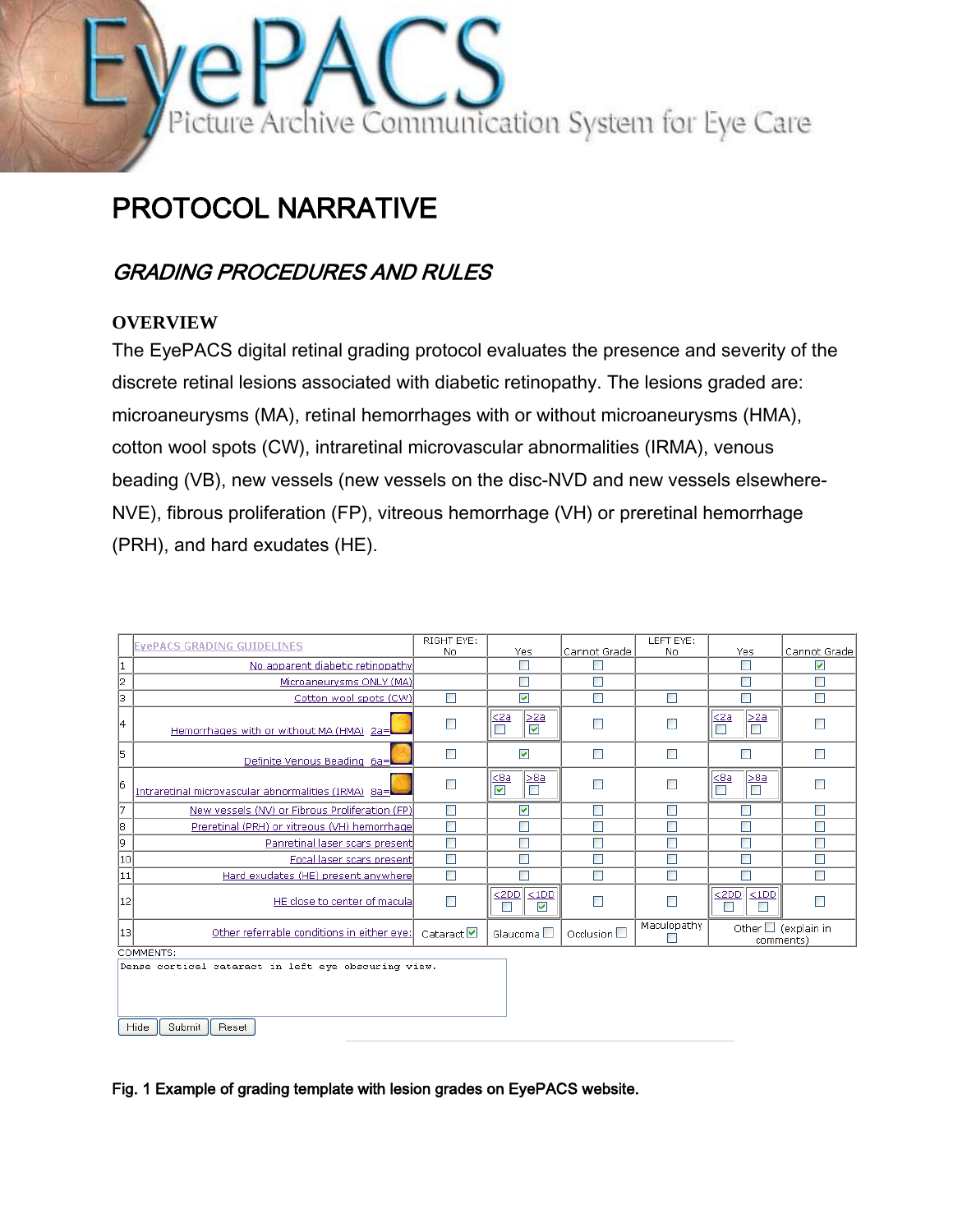

# PROTOCOL NARRATIVE

# GRADING PROCEDURES AND RULES

#### **OVERVIEW**

The EyePACS digital retinal grading protocol evaluates the presence and severity of the discrete retinal lesions associated with diabetic retinopathy. The lesions graded are: microaneurysms (MA), retinal hemorrhages with or without microaneurysms (HMA), cotton wool spots (CW), intraretinal microvascular abnormalities (IRMA), venous beading (VB), new vessels (new vessels on the disc-NVD and new vessels elsewhere-NVE), fibrous proliferation (FP), vitreous hemorrhage (VH) or preretinal hemorrhage (PRH), and hard exudates (HE).

|                                                                                | <b>EVEPACS GRADING GUIDELINES</b>                   | RIGHT EYE:<br>No      | Yes                                                | Cannot Grade        | LEFT EYE:<br>No | Yes                                          | Cannot Grade                          |  |
|--------------------------------------------------------------------------------|-----------------------------------------------------|-----------------------|----------------------------------------------------|---------------------|-----------------|----------------------------------------------|---------------------------------------|--|
| 1                                                                              | No apparent diabetic retinopathy                    |                       | $\Box$                                             | $\Box$              |                 | $\Box$                                       | ☑                                     |  |
| 12                                                                             | Microaneurysms ONLY (MA)                            |                       | Г                                                  | Г                   |                 | П                                            |                                       |  |
| 13                                                                             | Cotton wool spots (CW)                              | П                     | ⊽                                                  | $\Box$              | $\blacksquare$  |                                              | П                                     |  |
| 14                                                                             | Hemorrhages with or without MA (HMA) 2a=            | Г                     | >2a<br>$\frac{2a}{\Box}$<br>$\blacktriangledown$   | П                   | ٠               | $\leq 2a$<br>>2a<br>Г                        |                                       |  |
| 15                                                                             | Definite Venous Beading 6a=                         | П                     | ⊽                                                  | П                   | $\blacksquare$  | ٠                                            | П                                     |  |
| 16                                                                             | Intraretinal microvascular abnormalities (IRMA) 8a= | $\Box$                | $\leq 8a$<br>>8a<br>$\blacktriangledown$<br>$\Box$ | П                   | П               | $\leq$ 8a<br>>8a<br>$\blacksquare$<br>$\Box$ | П                                     |  |
| 17                                                                             | New vessels (NV) or Fibrous Proliferation (FP)      | $\Box$                | ⊽                                                  | П                   | П               |                                              | П                                     |  |
| 18                                                                             | Preretinal (PRH) or vitreous (VH) hemorrhage        | П                     | г                                                  | Г                   | П               | П                                            |                                       |  |
| 9                                                                              | Panretinal laser scars present                      | П                     | г                                                  | Г                   | n               |                                              |                                       |  |
| 10                                                                             | Focal laser scars present                           | П                     |                                                    | Г                   |                 |                                              |                                       |  |
| 11                                                                             | Hard exudates (HE) present anywhere                 | П                     |                                                    | П                   | T.              |                                              | П                                     |  |
| 12                                                                             | HE close to center of macula                        | П                     | < 2DD<br>$<$ 1DD<br>$\overline{\mathbf{v}}$<br>п   | $\Box$              |                 | < 2DD<br>$<$ 1DD                             |                                       |  |
| [13]                                                                           | Other referrable conditions in either eye:          | Cataract <sup>V</sup> | Glaucoma $\square$                                 | Occlusion $\square$ | Maculopathy     |                                              | Other $\Box$ (explain in<br>comments) |  |
| COMMENTS:                                                                      |                                                     |                       |                                                    |                     |                 |                                              |                                       |  |
| Dense cortical cataract in left eye obscuring view.<br>Hide<br>Submit<br>Reset |                                                     |                       |                                                    |                     |                 |                                              |                                       |  |

Fig. 1 Example of grading template with lesion grades on EyePACS website.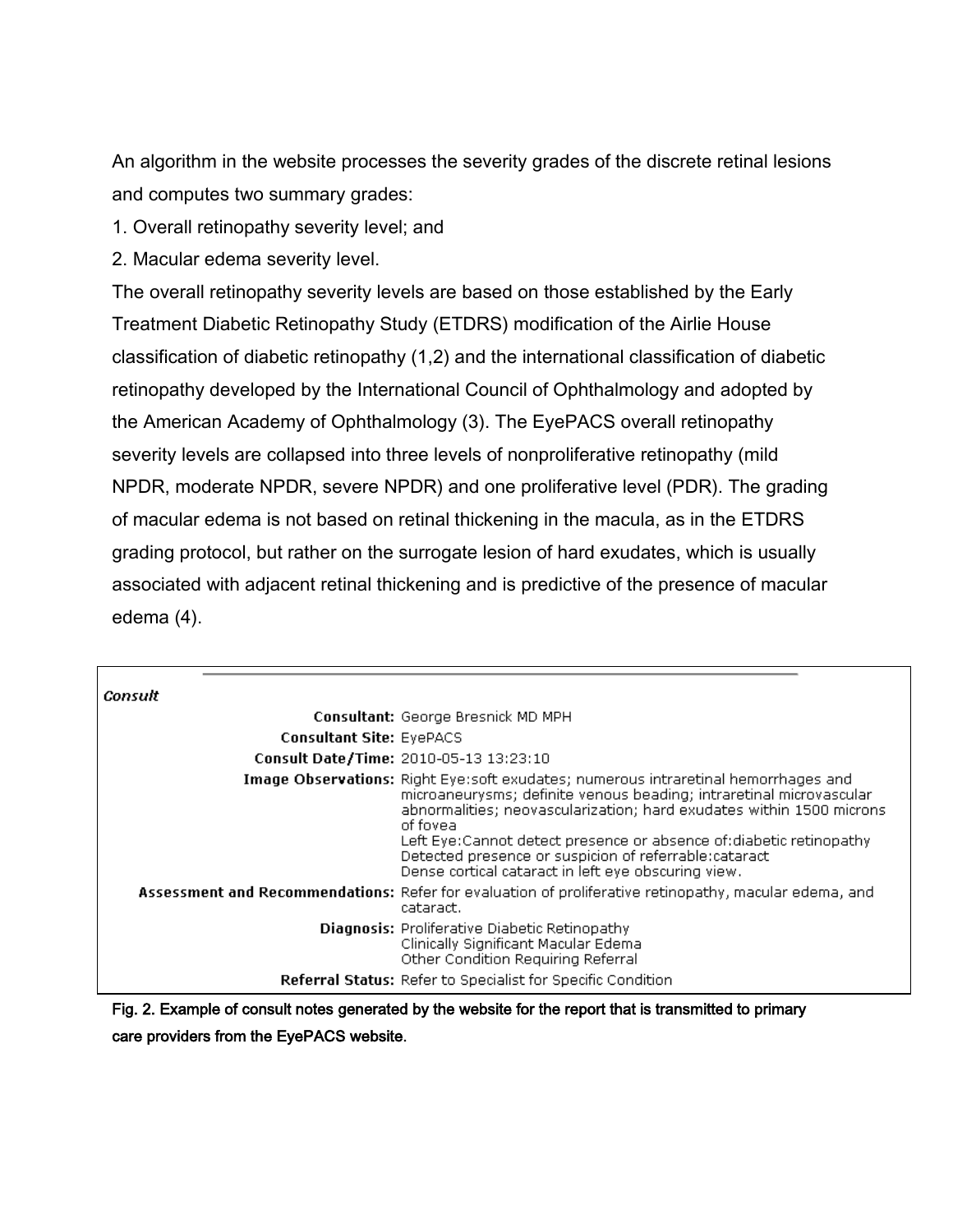An algorithm in the website processes the severity grades of the discrete retinal lesions and computes two summary grades:

1. Overall retinopathy severity level; and

2. Macular edema severity level.

The overall retinopathy severity levels are based on those established by the Early Treatment Diabetic Retinopathy Study (ETDRS) modification of the Airlie House classification of diabetic retinopathy (1,2) and the international classification of diabetic retinopathy developed by the International Council of Ophthalmology and adopted by the American Academy of Ophthalmology (3). The EyePACS overall retinopathy severity levels are collapsed into three levels of nonproliferative retinopathy (mild NPDR, moderate NPDR, severe NPDR) and one proliferative level (PDR). The grading of macular edema is not based on retinal thickening in the macula, as in the ETDRS grading protocol, but rather on the surrogate lesion of hard exudates, which is usually associated with adjacent retinal thickening and is predictive of the presence of macular edema (4).

| Consult |                                 |                                                                                                                                                                                                                                                                                                                                                                                                                                     |
|---------|---------------------------------|-------------------------------------------------------------------------------------------------------------------------------------------------------------------------------------------------------------------------------------------------------------------------------------------------------------------------------------------------------------------------------------------------------------------------------------|
|         |                                 | Consultant: George Bresnick MD MPH                                                                                                                                                                                                                                                                                                                                                                                                  |
|         | <b>Consultant Site: EyePACS</b> |                                                                                                                                                                                                                                                                                                                                                                                                                                     |
|         |                                 | Consult Date/Time: 2010-05-13 13:23:10                                                                                                                                                                                                                                                                                                                                                                                              |
|         |                                 | Image Observations: Right Eye:soft exudates; numerous intraretinal hemorrhages and<br>microaneurysms; definite venous beading; intraretinal microvascular<br>abnormalities; neovascularization; hard exudates within 1500 microns<br>of fovea<br>Left Eye:Cannot detect presence or absence of:diabetic retinopathy<br>Detected presence or suspicion of referrable:cataract<br>Dense cortical cataract in left eye obscuring view. |
|         |                                 | Assessment and Recommendations: Refer for evaluation of proliferative retinopathy, macular edema, and<br>cataract.                                                                                                                                                                                                                                                                                                                  |
|         |                                 | <b>Diagnosis:</b> Proliferative Diabetic Retinopathy<br>Clinically Significant Macular Edema<br>Other Condition Requiring Referral                                                                                                                                                                                                                                                                                                  |
|         |                                 | <b>Referral Status:</b> Refer to Specialist for Specific Condition                                                                                                                                                                                                                                                                                                                                                                  |

Fig. 2. Example of consult notes generated by the website for the report that is transmitted to primary care providers from the EyePACS website.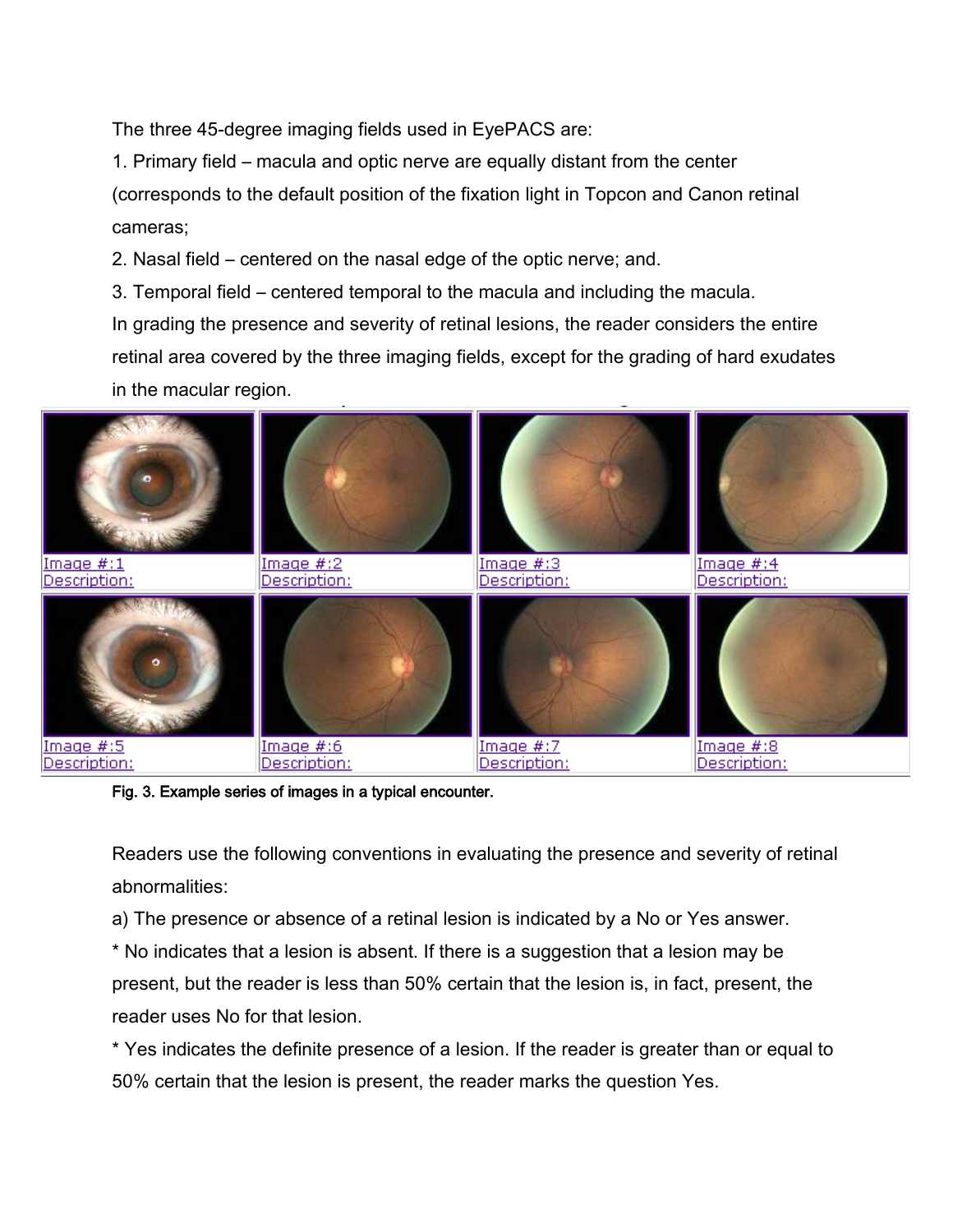The three 45-degree imaging fields used in EyePACS are:

1. Primary field – macula and optic nerve are equally distant from the center (corresponds to the default position of the fixation light in Topcon and Canon retinal cameras;

2. Nasal field – centered on the nasal edge of the optic nerve; and.

3. Temporal field – centered temporal to the macula and including the macula.

In grading the presence and severity of retinal lesions, the reader considers the entire retinal area covered by the three imaging fields, except for the grading of hard exudates in the macular region.



Fig. 3. Example series of images in a typical encounter.

Readers use the following conventions in evaluating the presence and severity of retinal abnormalities:

a) The presence or absence of a retinal lesion is indicated by a No or Yes answer.

\* No indicates that a lesion is absent. If there is a suggestion that a lesion may be present, but the reader is less than 50% certain that the lesion is, in fact, present, the reader uses No for that lesion.

\* Yes indicates the definite presence of a lesion. If the reader is greater than or equal to 50% certain that the lesion is present, the reader marks the question Yes.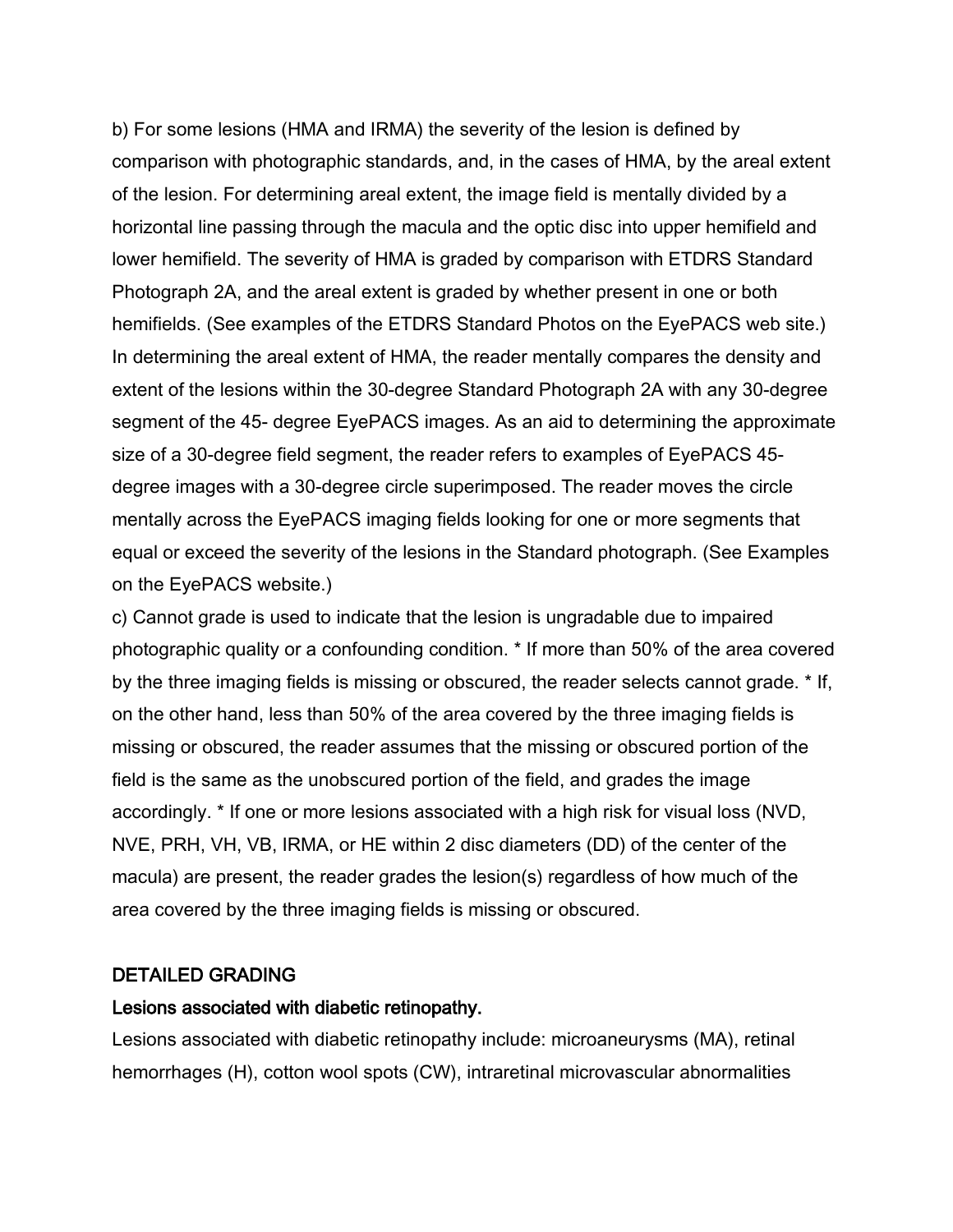b) For some lesions (HMA and IRMA) the severity of the lesion is defined by comparison with photographic standards, and, in the cases of HMA, by the areal extent of the lesion. For determining areal extent, the image field is mentally divided by a horizontal line passing through the macula and the optic disc into upper hemifield and lower hemifield. The severity of HMA is graded by comparison with ETDRS Standard Photograph 2A, and the areal extent is graded by whether present in one or both hemifields. (See examples of the ETDRS Standard Photos on the EyePACS web site.) In determining the areal extent of HMA, the reader mentally compares the density and extent of the lesions within the 30-degree Standard Photograph 2A with any 30-degree segment of the 45- degree EyePACS images. As an aid to determining the approximate size of a 30-degree field segment, the reader refers to examples of EyePACS 45 degree images with a 30-degree circle superimposed. The reader moves the circle mentally across the EyePACS imaging fields looking for one or more segments that equal or exceed the severity of the lesions in the Standard photograph. (See Examples on the EyePACS website.)

c) Cannot grade is used to indicate that the lesion is ungradable due to impaired photographic quality or a confounding condition. \* If more than 50% of the area covered by the three imaging fields is missing or obscured, the reader selects cannot grade. \* If, on the other hand, less than 50% of the area covered by the three imaging fields is missing or obscured, the reader assumes that the missing or obscured portion of the field is the same as the unobscured portion of the field, and grades the image accordingly. \* If one or more lesions associated with a high risk for visual loss (NVD, NVE, PRH, VH, VB, IRMA, or HE within 2 disc diameters (DD) of the center of the macula) are present, the reader grades the lesion(s) regardless of how much of the area covered by the three imaging fields is missing or obscured.

#### DETAILED GRADING

#### Lesions associated with diabetic retinopathy.

Lesions associated with diabetic retinopathy include: microaneurysms (MA), retinal hemorrhages (H), cotton wool spots (CW), intraretinal microvascular abnormalities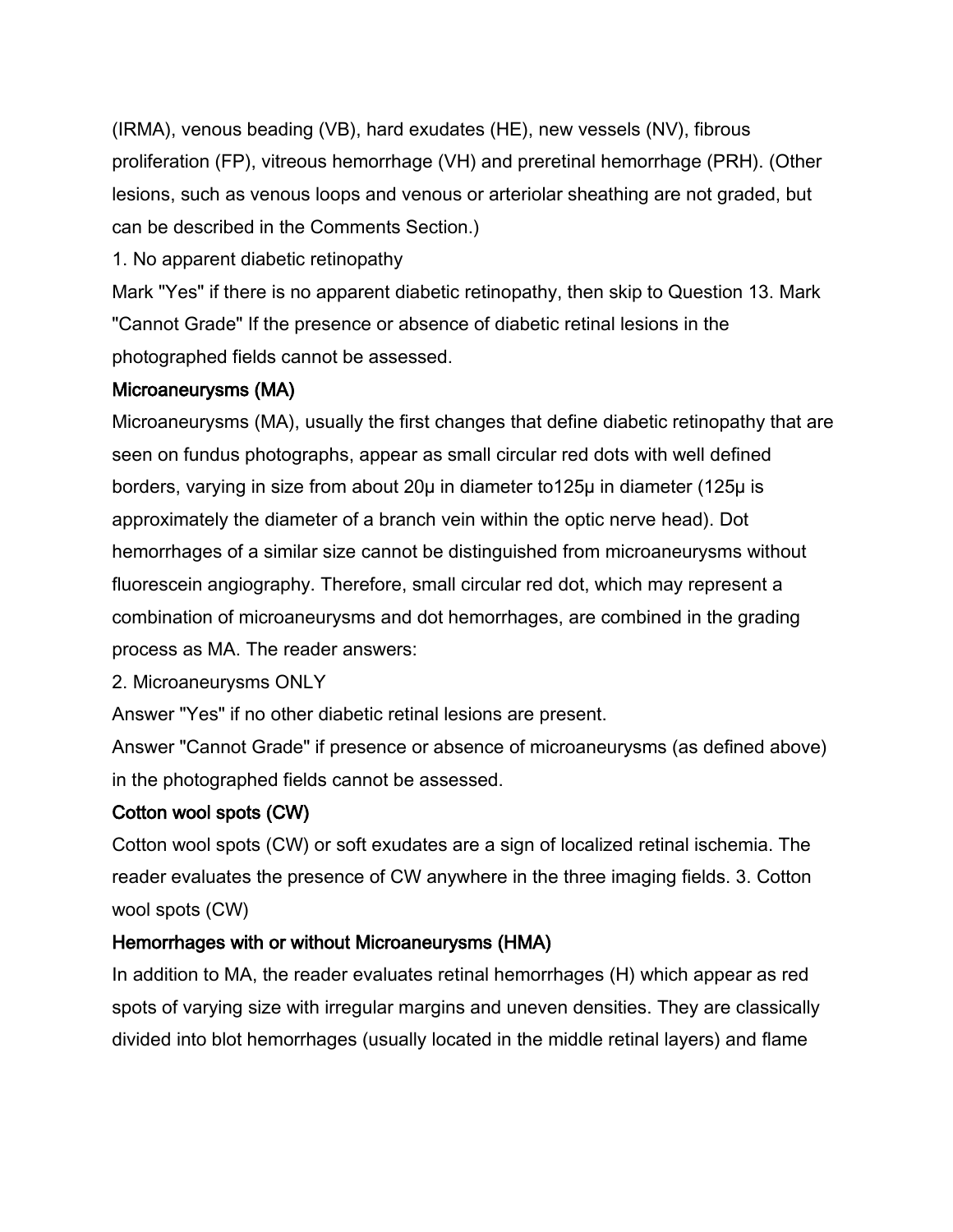(IRMA), venous beading (VB), hard exudates (HE), new vessels (NV), fibrous proliferation (FP), vitreous hemorrhage (VH) and preretinal hemorrhage (PRH). (Other lesions, such as venous loops and venous or arteriolar sheathing are not graded, but can be described in the Comments Section.)

1. No apparent diabetic retinopathy

Mark "Yes" if there is no apparent diabetic retinopathy, then skip to Question 13. Mark "Cannot Grade" If the presence or absence of diabetic retinal lesions in the photographed fields cannot be assessed.

#### Microaneurysms (MA)

Microaneurysms (MA), usually the first changes that define diabetic retinopathy that are seen on fundus photographs, appear as small circular red dots with well defined borders, varying in size from about 20µ in diameter to125µ in diameter (125µ is approximately the diameter of a branch vein within the optic nerve head). Dot hemorrhages of a similar size cannot be distinguished from microaneurysms without fluorescein angiography. Therefore, small circular red dot, which may represent a combination of microaneurysms and dot hemorrhages, are combined in the grading process as MA. The reader answers:

2. Microaneurysms ONLY

Answer "Yes" if no other diabetic retinal lesions are present.

Answer "Cannot Grade" if presence or absence of microaneurysms (as defined above) in the photographed fields cannot be assessed.

### Cotton wool spots (CW)

Cotton wool spots (CW) or soft exudates are a sign of localized retinal ischemia. The reader evaluates the presence of CW anywhere in the three imaging fields. 3. Cotton wool spots (CW)

### Hemorrhages with or without Microaneurysms (HMA)

In addition to MA, the reader evaluates retinal hemorrhages (H) which appear as red spots of varying size with irregular margins and uneven densities. They are classically divided into blot hemorrhages (usually located in the middle retinal layers) and flame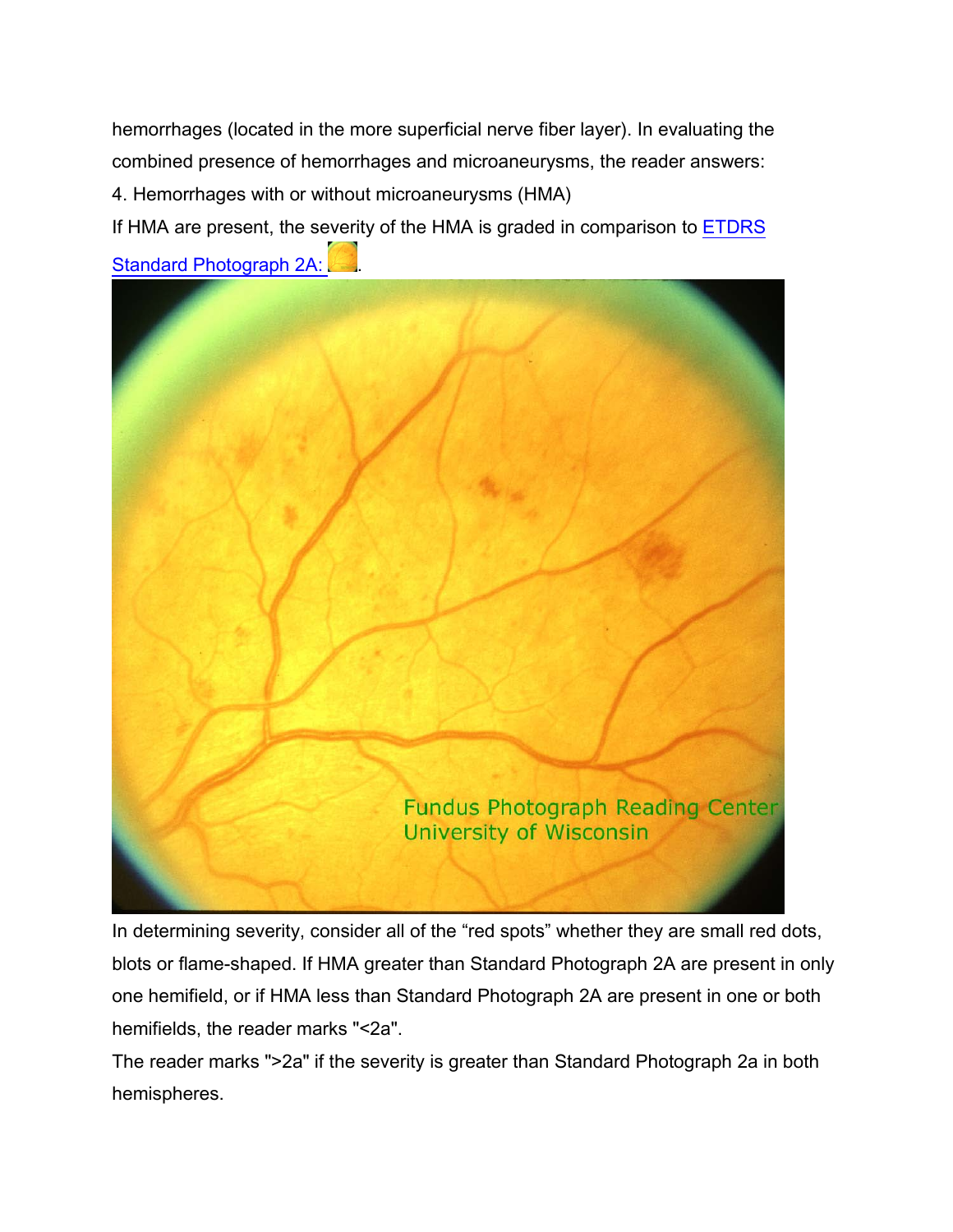hemorrhages (located in the more superficial nerve fiber layer). In evaluating the combined presence of hemorrhages and microaneurysms, the reader answers: 4. Hemorrhages with or without microaneurysms (HMA)

If HMA are present, the severity of the HMA is graded in comparison to [ETDRS](https://www.eyepacs.org/Clinical/grading/Ref2a.jpg)  Standard Photograph 2A:



In determining severity, consider all of the "red spots" whether they are small red dots, blots or flame-shaped. If HMA greater than Standard Photograph 2A are present in only one hemifield, or if HMA less than Standard Photograph 2A are present in one or both hemifields, the reader marks "<2a".

The reader marks ">2a" if the severity is greater than Standard Photograph 2a in both hemispheres.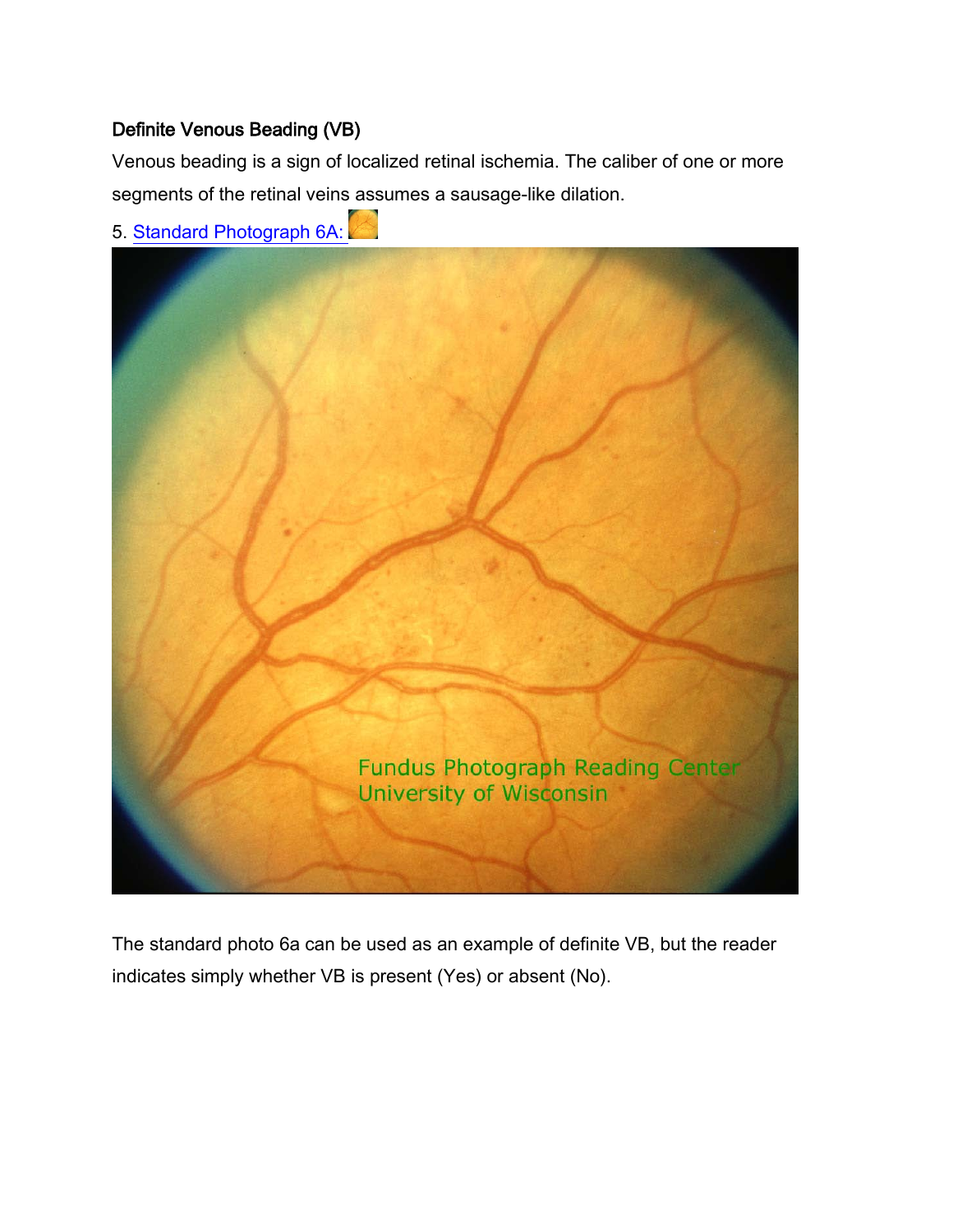## Definite Venous Beading (VB)

Venous beading is a sign of localized retinal ischemia. The caliber of one or more segments of the retinal veins assumes a sausage-like dilation.



5. Standard Photograph 6A:

The standard photo 6a can be used as an example of definite VB, but the reader indicates simply whether VB is present (Yes) or absent (No).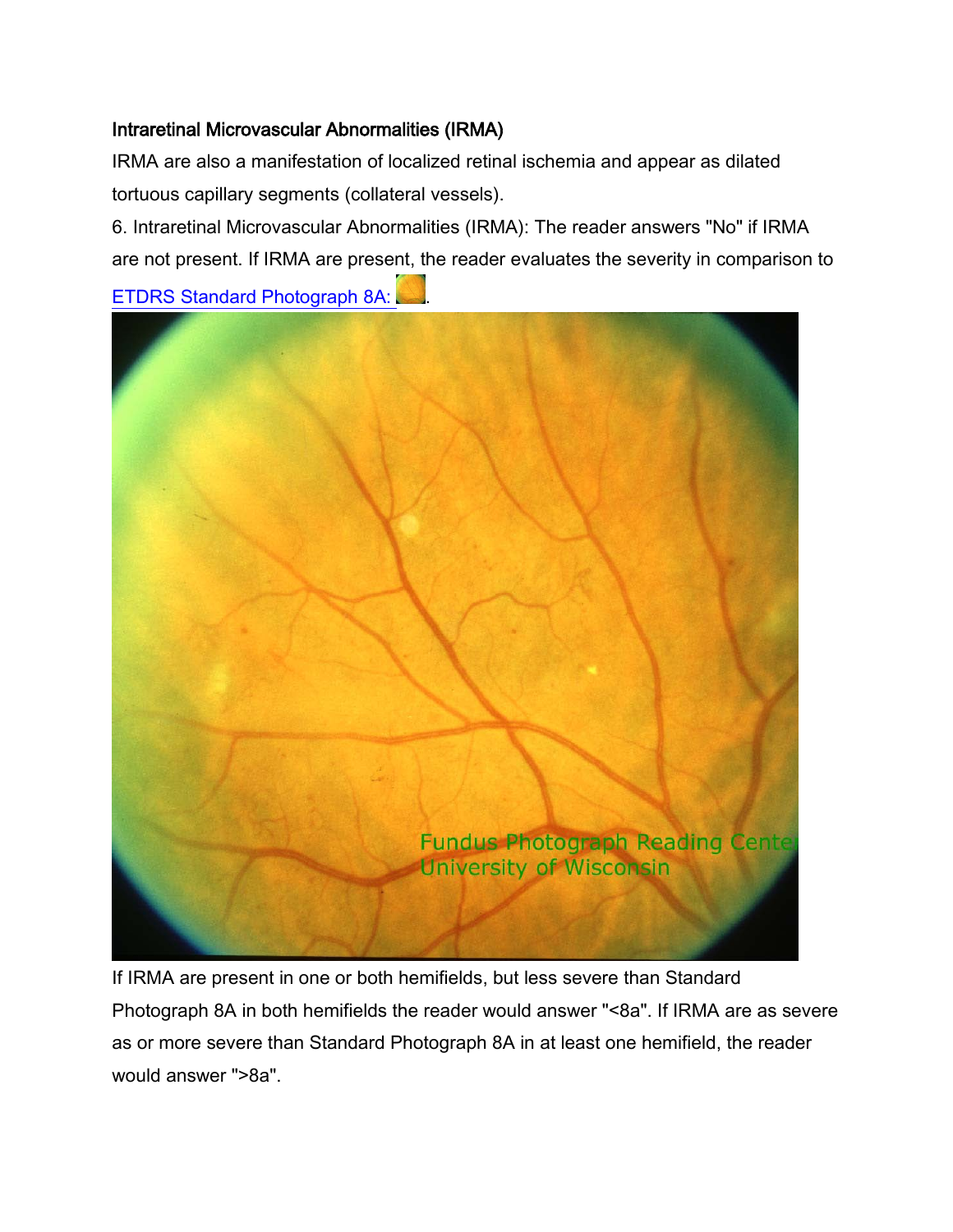#### Intraretinal Microvascular Abnormalities (IRMA)

IRMA are also a manifestation of localized retinal ischemia and appear as dilated tortuous capillary segments (collateral vessels).

6. Intraretinal Microvascular Abnormalities (IRMA): The reader answers "No" if IRMA are not present. If IRMA are present, the reader evaluates the severity in comparison to

ETDRS Standard Photograph 8A:



If IRMA are present in one or both hemifields, but less severe than Standard Photograph 8A in both hemifields the reader would answer "<8a". If IRMA are as severe as or more severe than Standard Photograph 8A in at least one hemifield, the reader would answer ">8a".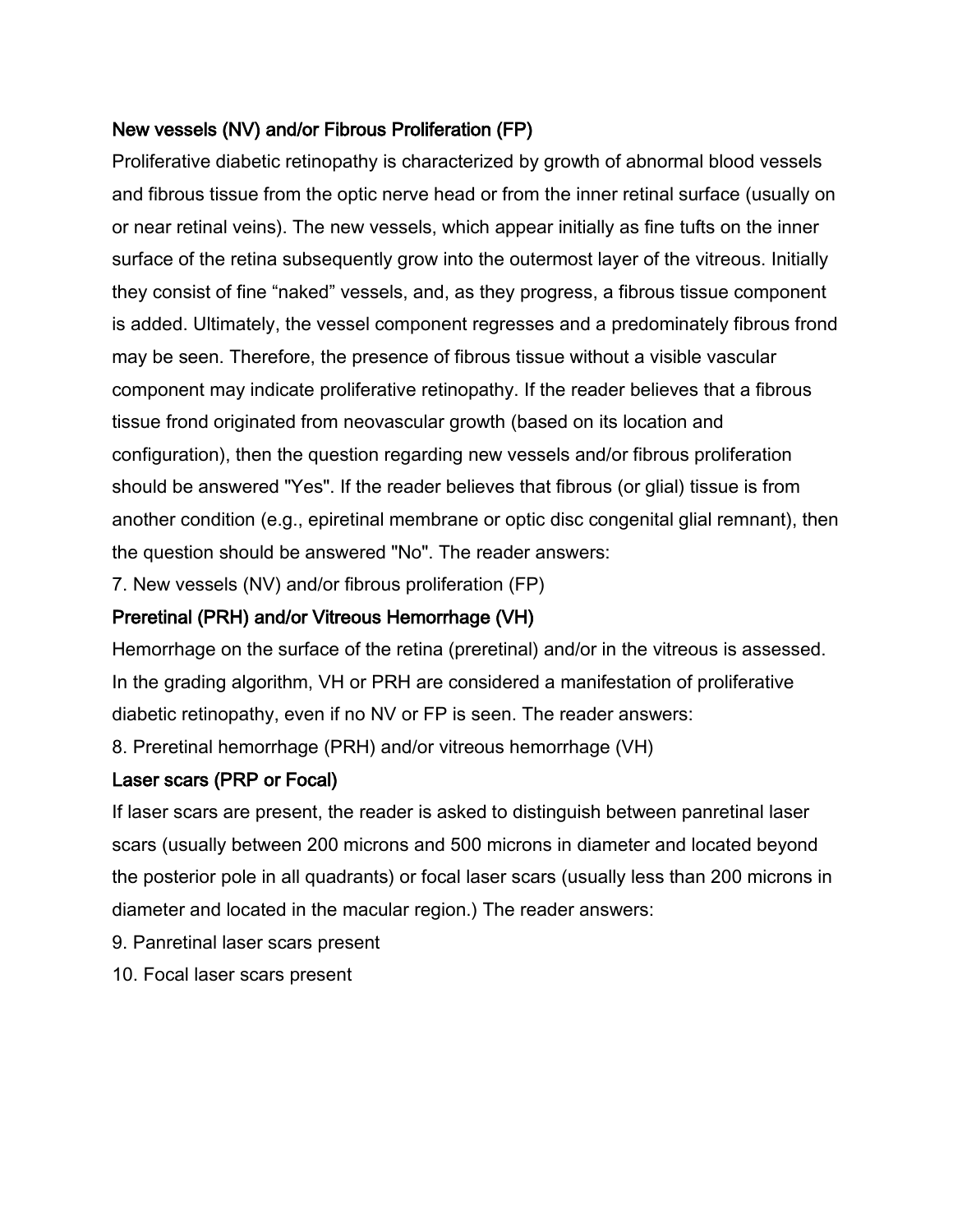#### New vessels (NV) and/or Fibrous Proliferation (FP)

Proliferative diabetic retinopathy is characterized by growth of abnormal blood vessels and fibrous tissue from the optic nerve head or from the inner retinal surface (usually on or near retinal veins). The new vessels, which appear initially as fine tufts on the inner surface of the retina subsequently grow into the outermost layer of the vitreous. Initially they consist of fine "naked" vessels, and, as they progress, a fibrous tissue component is added. Ultimately, the vessel component regresses and a predominately fibrous frond may be seen. Therefore, the presence of fibrous tissue without a visible vascular component may indicate proliferative retinopathy. If the reader believes that a fibrous tissue frond originated from neovascular growth (based on its location and configuration), then the question regarding new vessels and/or fibrous proliferation should be answered "Yes". If the reader believes that fibrous (or glial) tissue is from another condition (e.g., epiretinal membrane or optic disc congenital glial remnant), then the question should be answered "No". The reader answers:

7. New vessels (NV) and/or fibrous proliferation (FP)

#### Preretinal (PRH) and/or Vitreous Hemorrhage (VH)

Hemorrhage on the surface of the retina (preretinal) and/or in the vitreous is assessed. In the grading algorithm, VH or PRH are considered a manifestation of proliferative diabetic retinopathy, even if no NV or FP is seen. The reader answers:

8. Preretinal hemorrhage (PRH) and/or vitreous hemorrhage (VH)

#### Laser scars (PRP or Focal)

If laser scars are present, the reader is asked to distinguish between panretinal laser scars (usually between 200 microns and 500 microns in diameter and located beyond the posterior pole in all quadrants) or focal laser scars (usually less than 200 microns in diameter and located in the macular region.) The reader answers:

- 9. Panretinal laser scars present
- 10. Focal laser scars present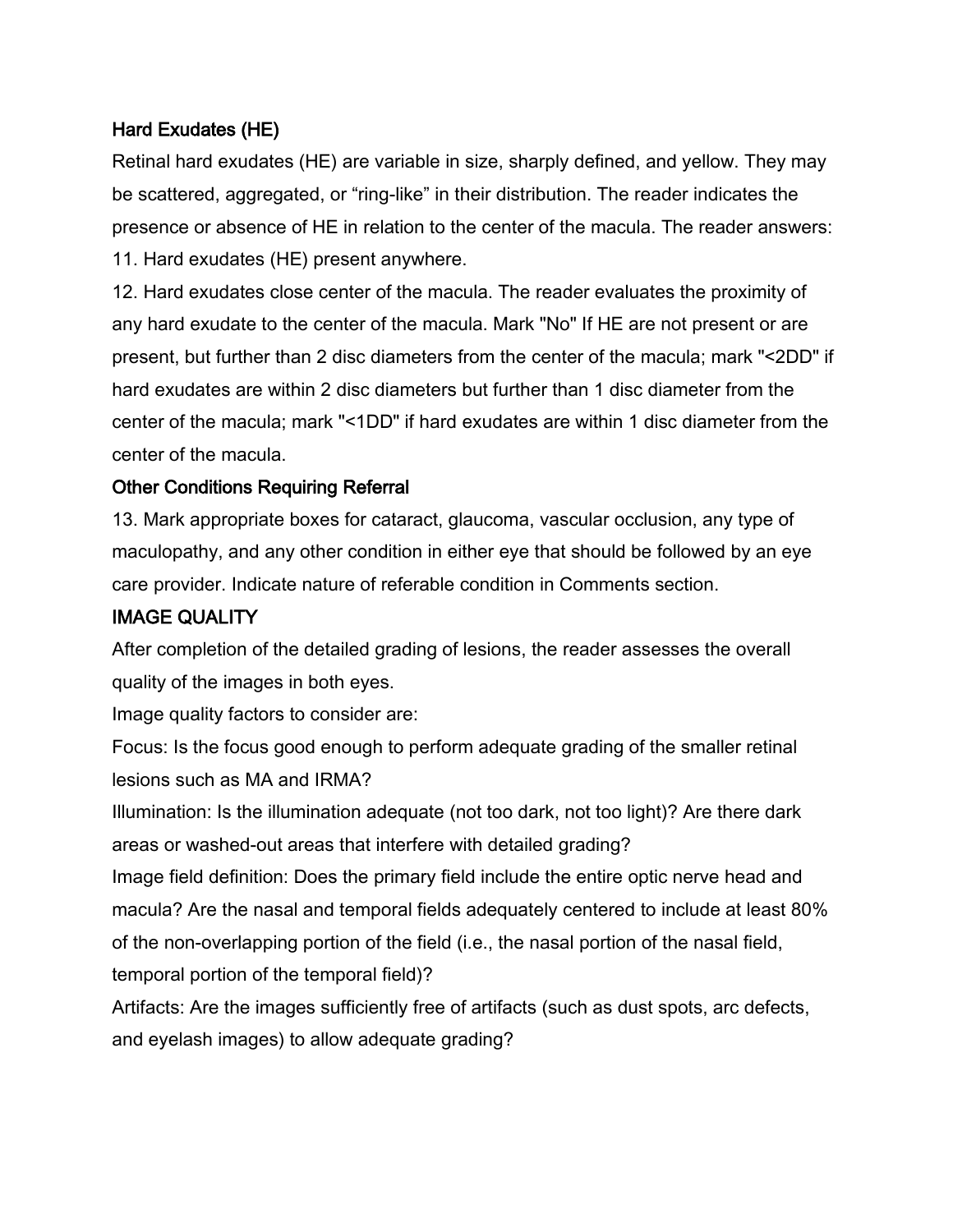### Hard Exudates (HE)

Retinal hard exudates (HE) are variable in size, sharply defined, and yellow. They may be scattered, aggregated, or "ring-like" in their distribution. The reader indicates the presence or absence of HE in relation to the center of the macula. The reader answers: 11. Hard exudates (HE) present anywhere.

12. Hard exudates close center of the macula. The reader evaluates the proximity of any hard exudate to the center of the macula. Mark "No" If HE are not present or are present, but further than 2 disc diameters from the center of the macula; mark "<2DD" if hard exudates are within 2 disc diameters but further than 1 disc diameter from the center of the macula; mark "<1DD" if hard exudates are within 1 disc diameter from the center of the macula.

### Other Conditions Requiring Referral

13. Mark appropriate boxes for cataract, glaucoma, vascular occlusion, any type of maculopathy, and any other condition in either eye that should be followed by an eye care provider. Indicate nature of referable condition in Comments section.

## IMAGE QUALITY

After completion of the detailed grading of lesions, the reader assesses the overall quality of the images in both eyes.

Image quality factors to consider are:

Focus: Is the focus good enough to perform adequate grading of the smaller retinal lesions such as MA and IRMA?

Illumination: Is the illumination adequate (not too dark, not too light)? Are there dark areas or washed-out areas that interfere with detailed grading?

Image field definition: Does the primary field include the entire optic nerve head and macula? Are the nasal and temporal fields adequately centered to include at least 80% of the non-overlapping portion of the field (i.e., the nasal portion of the nasal field, temporal portion of the temporal field)?

Artifacts: Are the images sufficiently free of artifacts (such as dust spots, arc defects, and eyelash images) to allow adequate grading?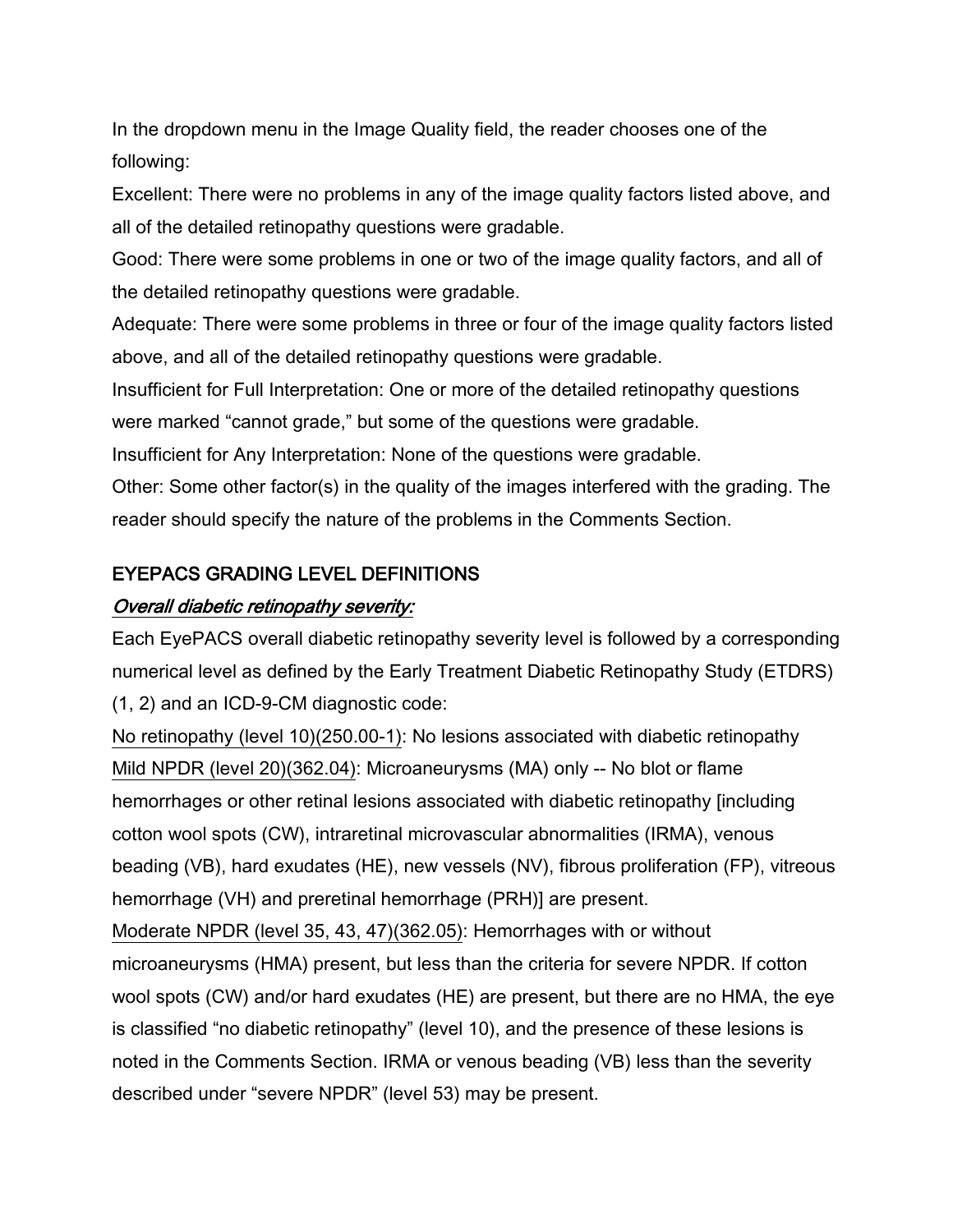In the dropdown menu in the Image Quality field, the reader chooses one of the following:

Excellent: There were no problems in any of the image quality factors listed above, and all of the detailed retinopathy questions were gradable.

Good: There were some problems in one or two of the image quality factors, and all of the detailed retinopathy questions were gradable.

Adequate: There were some problems in three or four of the image quality factors listed above, and all of the detailed retinopathy questions were gradable.

Insufficient for Full Interpretation: One or more of the detailed retinopathy questions were marked "cannot grade," but some of the questions were gradable.

Insufficient for Any Interpretation: None of the questions were gradable.

Other: Some other factor(s) in the quality of the images interfered with the grading. The reader should specify the nature of the problems in the Comments Section.

#### EYEPACS GRADING LEVEL DEFINITIONS

#### Overall diabetic retinopathy severity:

Each EyePACS overall diabetic retinopathy severity level is followed by a corresponding numerical level as defined by the Early Treatment Diabetic Retinopathy Study (ETDRS) (1, 2) and an ICD-9-CM diagnostic code:

No retinopathy (level 10)(250.00-1): No lesions associated with diabetic retinopathy Mild NPDR (level 20)(362.04): Microaneurysms (MA) only -- No blot or flame hemorrhages or other retinal lesions associated with diabetic retinopathy [including cotton wool spots (CW), intraretinal microvascular abnormalities (IRMA), venous beading (VB), hard exudates (HE), new vessels (NV), fibrous proliferation (FP), vitreous hemorrhage (VH) and preretinal hemorrhage (PRH)] are present.

Moderate NPDR (level 35, 43, 47)(362.05): Hemorrhages with or without microaneurysms (HMA) present, but less than the criteria for severe NPDR. If cotton wool spots (CW) and/or hard exudates (HE) are present, but there are no HMA, the eye is classified "no diabetic retinopathy" (level 10), and the presence of these lesions is noted in the Comments Section. IRMA or venous beading (VB) less than the severity described under "severe NPDR" (level 53) may be present.